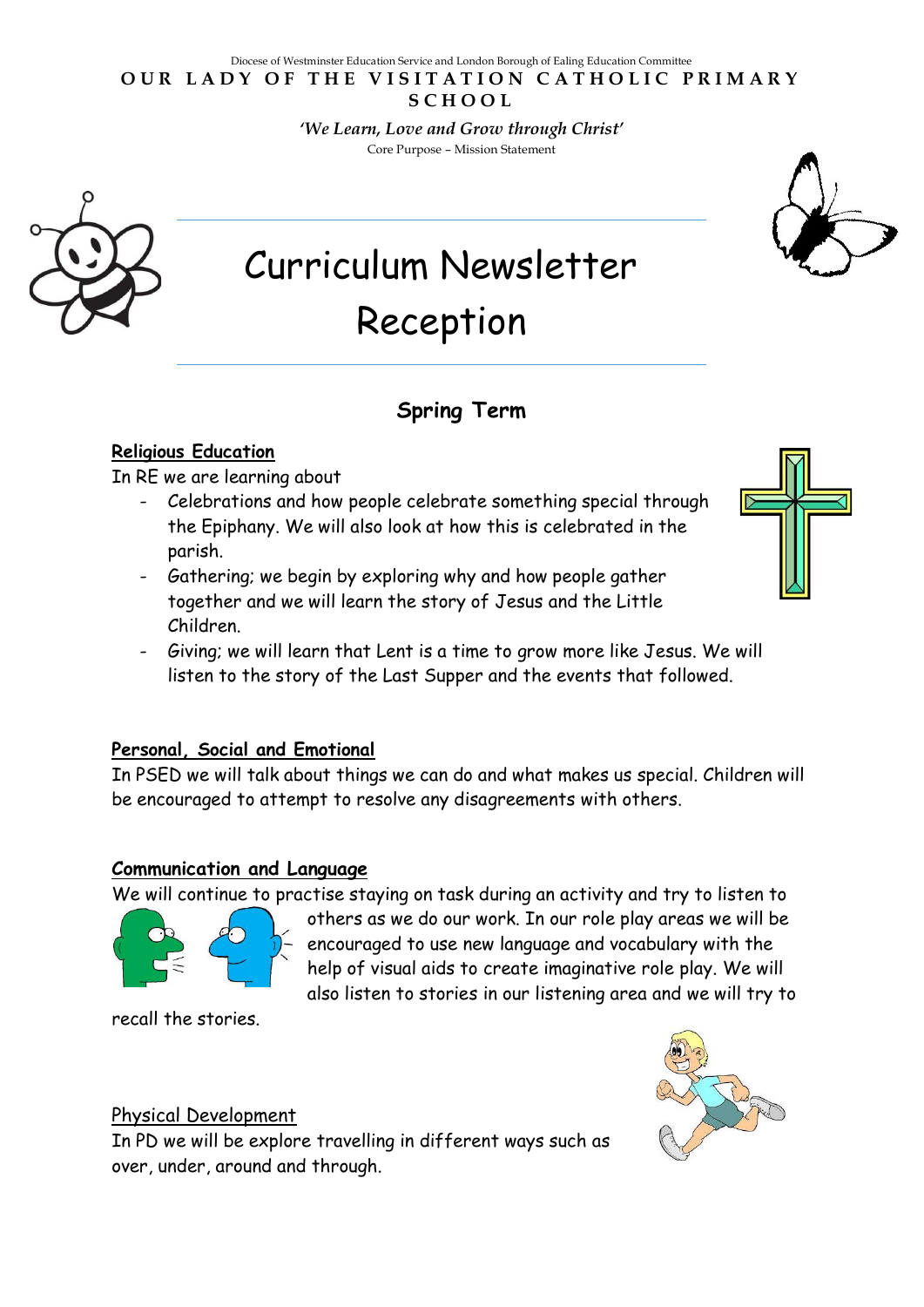#### Diocese of Westminster Education Service and London Borough of Ealing Education Committee **OUR LADY OF THE VISITATION CATHOLIC PRIMARY S C H O O L**

*'We Learn, Love and Grow through Christ'*  Core Purpose – Mission Statement



# **Spring Term**

## **Religious Education**

In RE we are learning about

- Celebrations and how people celebrate something special through the Epiphany. We will also look at how this is celebrated in the parish.
- Gathering; we begin by exploring why and how people gather together and we will learn the story of Jesus and the Little Children.
- Giving; we will learn that Lent is a time to grow more like Jesus. We will listen to the story of the Last Supper and the events that followed.

# **Personal, Social and Emotional**

In PSED we will talk about things we can do and what makes us special. Children will be encouraged to attempt to resolve any disagreements with others.

# **Communication and Language**

We will continue to practise staying on task during an activity and try to listen to

others as we do our work. In our role play areas we will be encouraged to use new language and vocabulary with the help of visual aids to create imaginative role play. We will also listen to stories in our listening area and we will try to



recall the stories.



# Physical Development

In PD we will be explore travelling in different ways such as over, under, around and through.

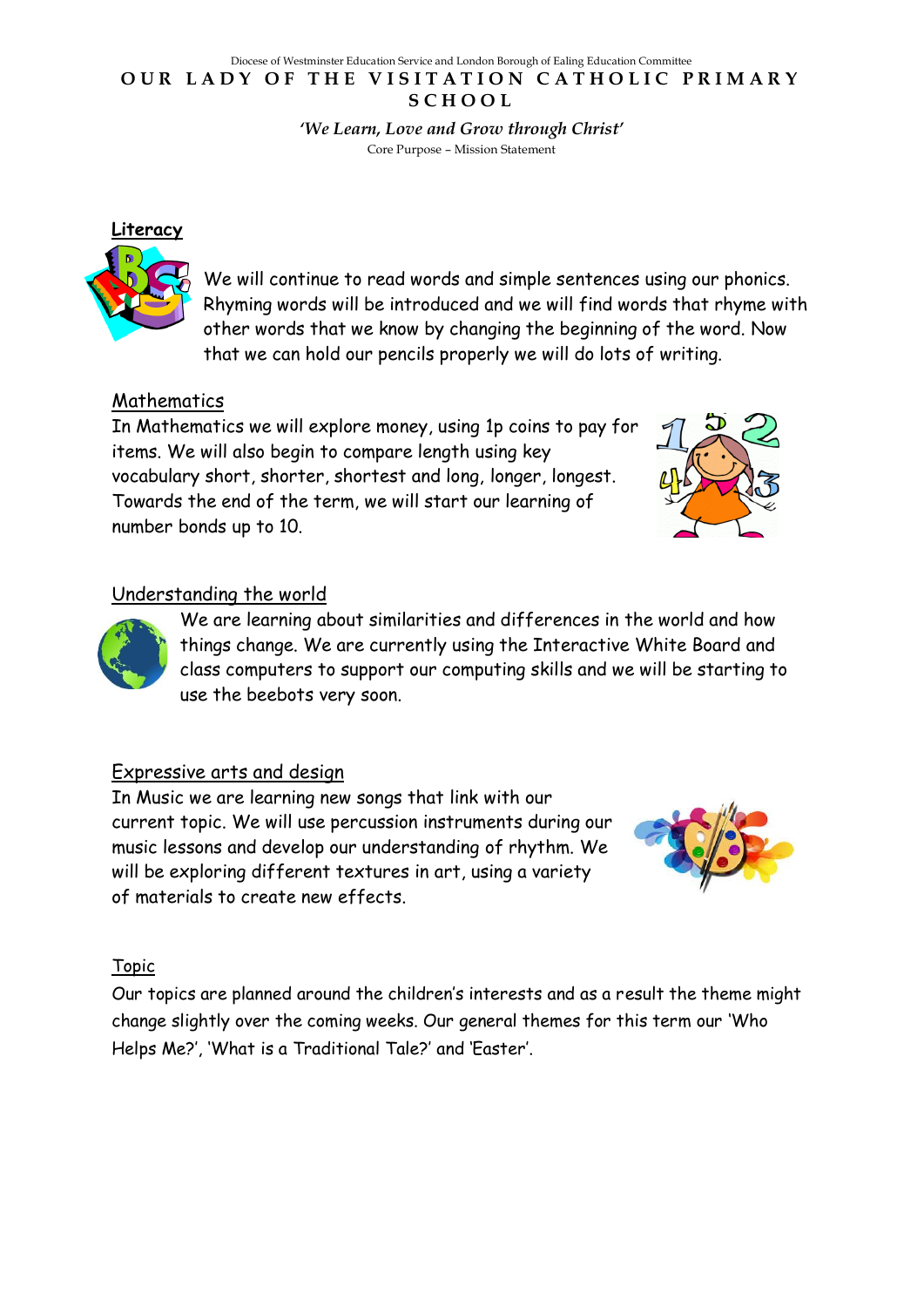#### Diocese of Westminster Education Service and London Borough of Ealing Education Committee **OUR LADY OF THE VISITATION CATHOLIC PRIMARY S C H O O L**

*'We Learn, Love and Grow through Christ'*  Core Purpose – Mission Statement

that we can hold our pencils properly we will do lots of writing.

We will continue to read words and simple sentences using our phonics. Rhyming words will be introduced and we will find words that rhyme with other words that we know by changing the beginning of the word. Now

# Mathematics

**Literacy**

In Mathematics we will explore money, using 1p coins to pay for items. We will also begin to compare length using key vocabulary short, shorter, shortest and long, longer, longest. Towards the end of the term, we will start our learning of number bonds up to 10.



## Understanding the world



We are learning about similarities and differences in the world and how things change. We are currently using the Interactive White Board and class computers to support our computing skills and we will be starting to use the beebots very soon.

## Expressive arts and design

In Music we are learning new songs that link with our current topic. We will use percussion instruments during our music lessons and develop our understanding of rhythm. We will be exploring different textures in art, using a variety of materials to create new effects.



## Topic

Our topics are planned around the children's interests and as a result the theme might change slightly over the coming weeks. Our general themes for this term our 'Who Helps Me?', 'What is a Traditional Tale?' and 'Easter'.